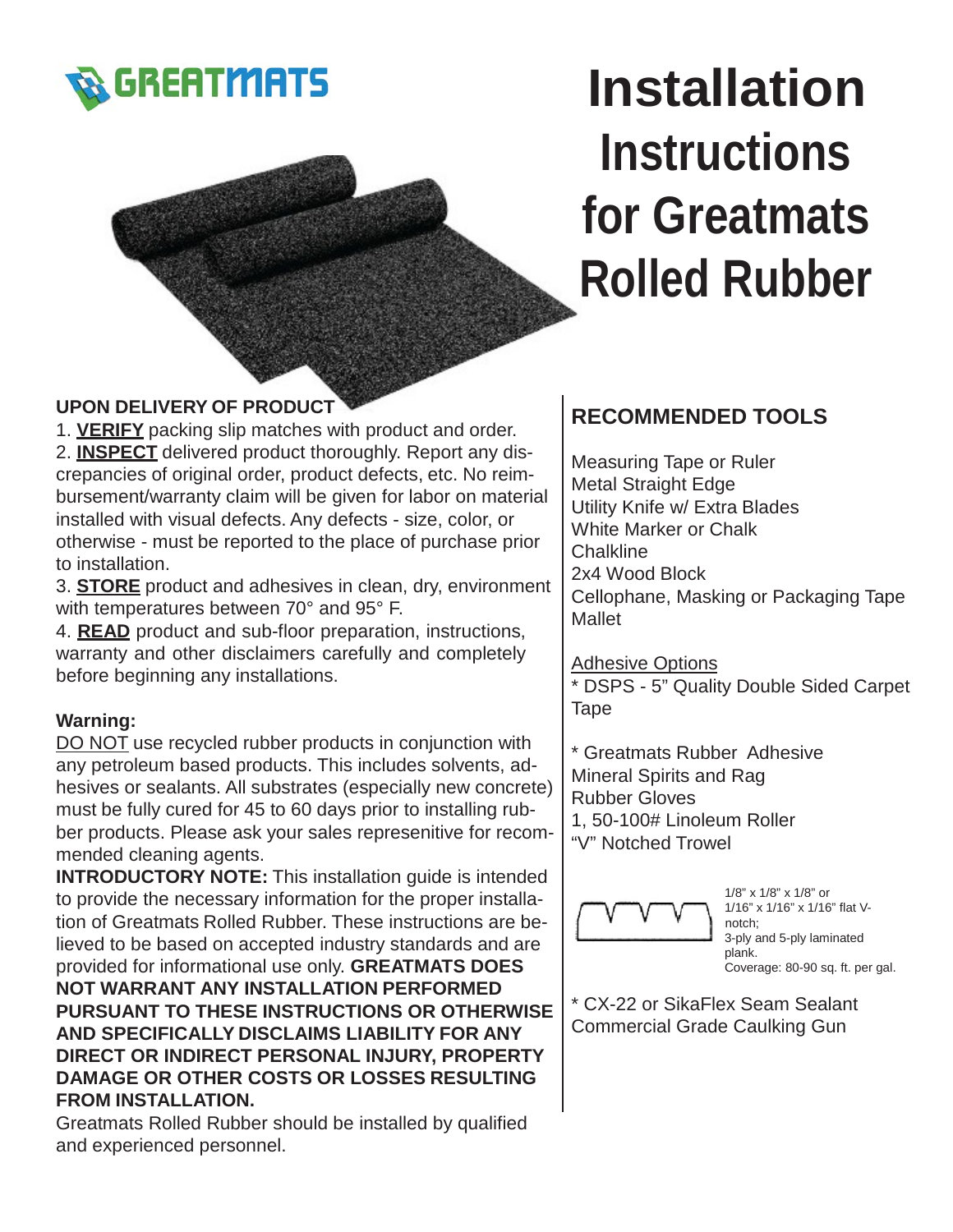

# **Installation Instructions for Greatmats Rolled Rubber**

## **UPON DELIVERY OF PRODUCT**

1. **VERIFY** packing slip matches with product and order. 2. **INSPECT** delivered product thoroughly. Report any discrepancies of original order, product defects, etc. No reimbursement/warranty claim will be given for labor on material installed with visual defects. Any defects - size, color, or otherwise - must be reported to the place of purchase prior to installation.

3. **STORE** product and adhesives in clean, dry, environment with temperatures between 70° and 95° F.

4. **READ** product and sub-floor preparation, instructions, warranty and other disclaimers carefully and completely before beginning any installations.

## **Warning:**

DO NOT use recycled rubber products in conjunction with any petroleum based products. This includes solvents, adhesives or sealants. All substrates (especially new concrete) must be fully cured for 45 to 60 days prior to installing rubber products. Please ask your sales represenitive for recommended cleaning agents.

**INTRODUCTORY NOTE:** This installation guide is intended to provide the necessary information for the proper installation of Greatmats Rolled Rubber. These instructions are believed to be based on accepted industry standards and are provided for informational use only. **GREATMATS DOES NOT WARRANT ANY INSTALLATION PERFORMED PURSUANT TO THESE INSTRUCTIONS OR OTHERWISE AND SPECIFICALLY DISCLAIMS LIABILITY FOR ANY DIRECT OR INDIRECT PERSONAL INJURY, PROPERTY DAMAGE OR OTHER COSTS OR LOSSES RESULTING FROM INSTALLATION.**

Greatmats Rolled Rubber should be installed by qualified and experienced personnel.

## **RECOMMENDED TOOLS**

Measuring Tape or Ruler Metal Straight Edge Utility Knife w/ Extra Blades White Marker or Chalk Chalkline 2x4 Wood Block Cellophane, Masking or Packaging Tape Mallet

Adhesive Options \* DSPS - 5" Quality Double Sided Carpet Tape

\* Greatmats Rubber Adhesive Mineral Spirits and Rag Rubber Gloves 1, 50-100# Linoleum Roller "V" Notched Trowel

1/8" x 1/8" x 1/8" or 1/16" x 1/16" x 1/16" flat Vnotch; 3-ply and 5-ply laminated plank. Coverage: 80-90 sq. ft. per gal.

\* CX-22 or SikaFlex Seam Sealant Commercial Grade Caulking Gun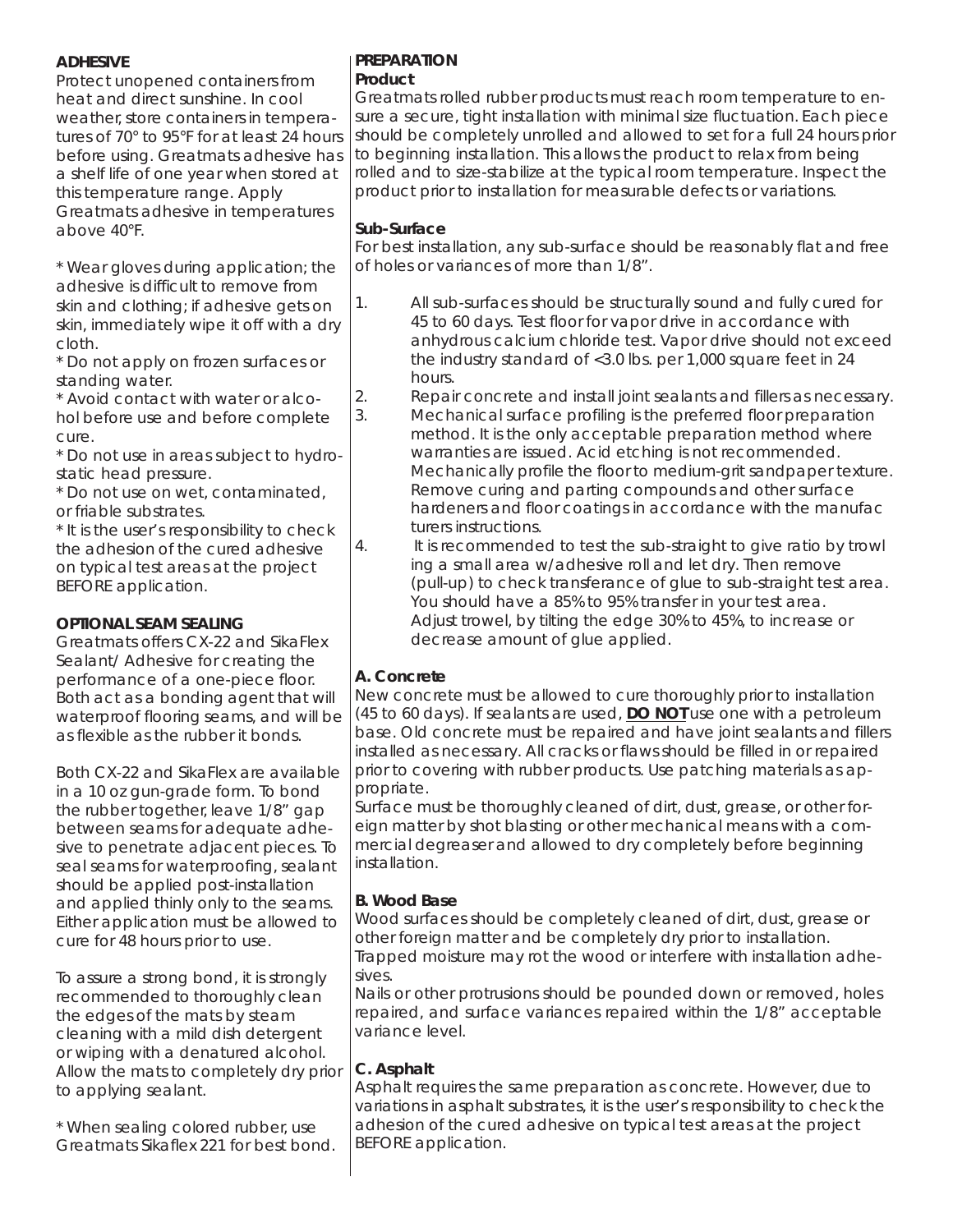#### **ADHESIVE**

Protect unopened containers from heat and direct sunshine. In cool weather, store containers in temperatures of 70° to 95°F for at least 24 hours before using. Greatmats adhesive has a shelf life of one year when stored at this temperature range. Apply Greatmats adhesive in temperatures above 40°F.

\* Wear gloves during application; the adhesive is difficult to remove from skin and clothing; if adhesive gets on skin, immediately wipe it off with a dry cloth.

\* Do not apply on frozen surfaces or standing water.

\* Avoid contact with water or alcohol before use and before complete cure.

\* Do not use in areas subject to hydrostatic head pressure.

\* Do not use on wet, contaminated, or friable substrates.

\* It is the user's responsibility to check the adhesion of the cured adhesive on typical test areas at the project BEFORE application.

## **OPTIONAL SEAM SEALING**

Greatmats offers CX-22 and SikaFlex Sealant/ Adhesive for creating the performance of a one-piece floor. Both act as a bonding agent that will waterproof flooring seams, and will be as flexible as the rubber it bonds.

Both CX-22 and SikaFlex are available in a 10 oz gun-grade form. To bond the rubber together, leave 1/8" gap between seams for adequate adhesive to penetrate adjacent pieces. To seal seams for waterproofing, sealant should be applied post-installation and applied thinly only to the seams. Either application must be allowed to cure for 48 hours prior to use.

To assure a strong bond, it is strongly recommended to thoroughly clean the edges of the mats by steam cleaning with a mild dish detergent or wiping with a denatured alcohol. Allow the mats to completely dry prior to applying sealant.

\* When sealing colored rubber, use Greatmats Sikaflex 221 for best bond.

#### **PREPARATION Product**

Greatmats rolled rubber products must reach room temperature to ensure a secure, tight installation with minimal size fluctuation. Each piece should be completely unrolled and allowed to set for a full 24 hours prior to beginning installation. This allows the product to relax from being rolled and to size-stabilize at the typical room temperature. Inspect the product prior to installation for measurable defects or variations.

## **Sub-Surface**

For best installation, any sub-surface should be reasonably flat and free of holes or variances of more than 1/8".

- 1. All sub-surfaces should be structurally sound and fully cured for 45 to 60 days. Test floor for vapor drive in accordance with anhydrous calcium chloride test. Vapor drive should not exceed the industry standard of <3.0 lbs. per 1,000 square feet in 24 hours.
- 2. Repair concrete and install joint sealants and fillers as necessary.
- 3. Mechanical surface profiling is the preferred floor preparation method. It is the only acceptable preparation method where warranties are issued. Acid etching is not recommended. Mechanically profile the floor to medium-grit sandpaper texture. Remove curing and parting compounds and other surface hardeners and floor coatings in accordance with the manufac turers instructions.
- 4. It is recommended to test the sub-straight to give ratio by trowl ing a small area w/adhesive roll and let dry. Then remove (pull-up) to check transferance of glue to sub-straight test area. You should have a 85% to 95% transfer in your test area. Adjust trowel, by tilting the edge 30% to 45%, to increase or decrease amount of glue applied.

## **A. Concrete**

New concrete must be allowed to cure thoroughly prior to installation (45 to 60 days). If sealants are used, **DO NOT** use one with a petroleum base. Old concrete must be repaired and have joint sealants and fillers installed as necessary. All cracks or flaws should be filled in or repaired prior to covering with rubber products. Use patching materials as appropriate.

Surface must be thoroughly cleaned of dirt, dust, grease, or other foreign matter by shot blasting or other mechanical means with a commercial degreaser and allowed to dry completely before beginning installation.

## **B. Wood Base**

Wood surfaces should be completely cleaned of dirt, dust, grease or other foreign matter and be completely dry prior to installation. Trapped moisture may rot the wood or interfere with installation adhesives.

Nails or other protrusions should be pounded down or removed, holes repaired, and surface variances repaired within the 1/8" acceptable variance level.

## **C. Asphalt**

Asphalt requires the same preparation as concrete. However, due to variations in asphalt substrates, it is the user's responsibility to check the adhesion of the cured adhesive on typical test areas at the project BEFORE application.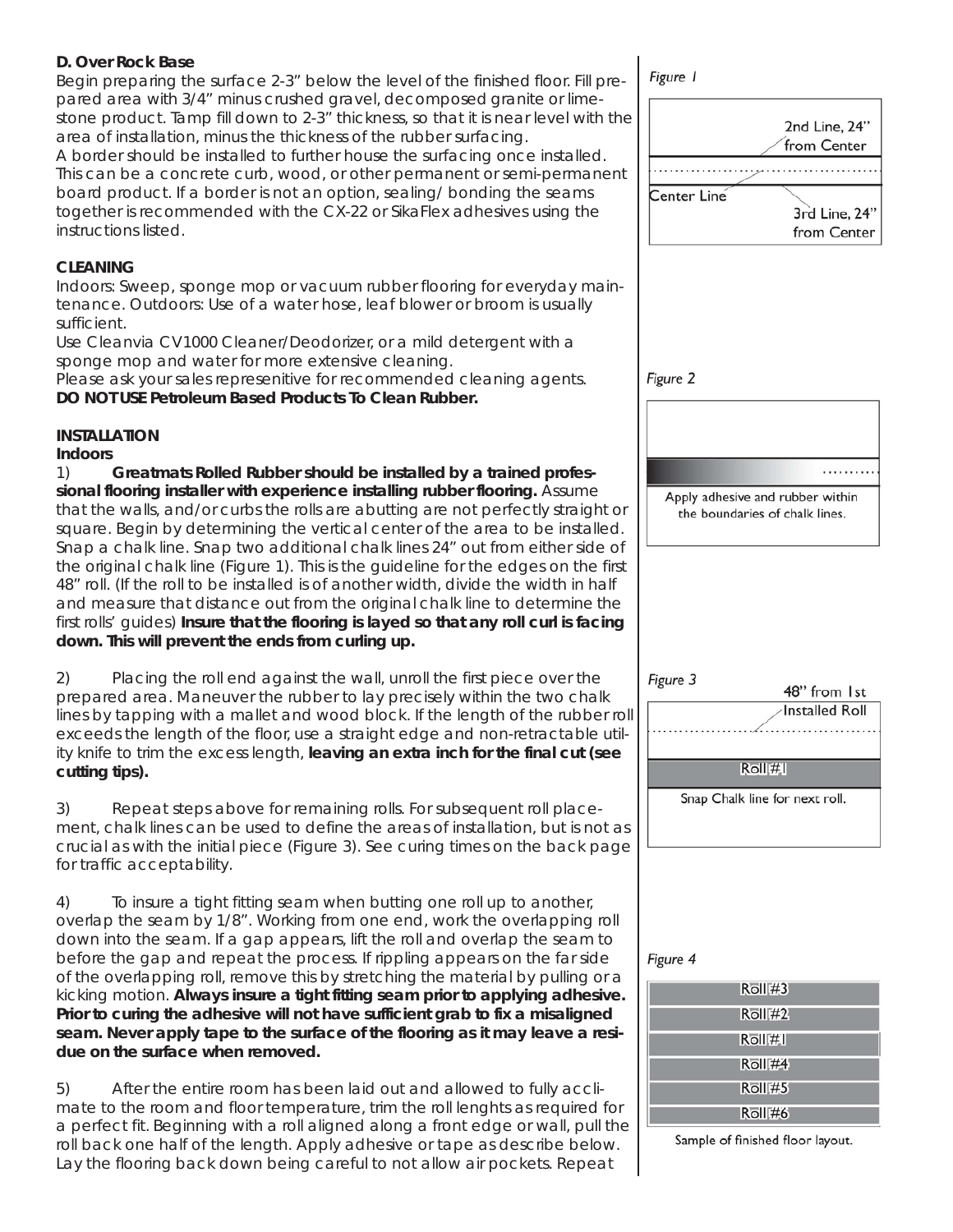#### **D. Over Rock Base**

Begin preparing the surface 2-3" below the level of the finished floor. Fill prepared area with 3/4" minus crushed gravel, decomposed granite or limestone product. Tamp fill down to 2-3" thickness, so that it is near level with the area of installation, minus the thickness of the rubber surfacing.

A border should be installed to further house the surfacing once installed. This can be a concrete curb, wood, or other permanent or semi-permanent board product. If a border is not an option, sealing/ bonding the seams together is recommended with the CX-22 or SikaFlex adhesives using the instructions listed.

#### **CLEANING**

Indoors: Sweep, sponge mop or vacuum rubber flooring for everyday maintenance. Outdoors: Use of a water hose, leaf blower or broom is usually sufficient.

Use Cleanvia CV1000 Cleaner/Deodorizer, or a mild detergent with a sponge mop and water for more extensive cleaning.

Please ask your sales represenitive for recommended cleaning agents. **DO NOT USE Petroleum Based Products To Clean Rubber.**

#### **INSTALLATION**

**Indoors**

1) **Greatmats Rolled Rubber should be installed by a trained professional flooring installer with experience installing rubber flooring.** Assume that the walls, and/or curbs the rolls are abutting are not perfectly straight or square. Begin by determining the vertical center of the area to be installed. Snap a chalk line. Snap two additional chalk lines 24" out from either side of the original chalk line (Figure 1). This is the guideline for the edges on the first 48" roll. (If the roll to be installed is of another width, divide the width in half and measure that distance out from the original chalk line to determine the first rolls' guides) **Insure that the flooring is layed so that any roll curl is facing down. This will prevent the ends from curling up.**

2) Placing the roll end against the wall, unroll the first piece over the prepared area. Maneuver the rubber to lay precisely within the two chalk lines by tapping with a mallet and wood block. If the length of the rubber roll exceeds the length of the floor, use a straight edge and non-retractable utility knife to trim the excess length, **leaving an extra inch for the final cut (see cutting tips).**

3) Repeat steps above for remaining rolls. For subsequent roll placement, chalk lines can be used to define the areas of installation, but is not as crucial as with the initial piece (Figure 3). See curing times on the back page for traffic acceptability.

4) To insure a tight fitting seam when butting one roll up to another, overlap the seam by 1/8". Working from one end, work the overlapping roll down into the seam. If a gap appears, lift the roll and overlap the seam to before the gap and repeat the process. If rippling appears on the far side of the overlapping roll, remove this by stretching the material by pulling or a kicking motion. **Always insure a tight fitting seam prior to applying adhesive. Prior to curing the adhesive will not have sufficient grab to fix a misaligned seam. Never apply tape to the surface of the flooring as it may leave a residue on the surface when removed.**

5) After the entire room has been laid out and allowed to fully acclimate to the room and floor temperature, trim the roll lenghts as required for a perfect fit. Beginning with a roll aligned along a front edge or wall, pull the roll back one half of the length. Apply adhesive or tape as describe below. Lay the flooring back down being careful to not allow air pockets. Repeat

Figure 1

|             | 2nd Line, 24"<br>from Center |
|-------------|------------------------------|
| Center Line |                              |
|             | 3rd Line, 24"                |
|             | from Center                  |

Figure 2

Apply adhesive and rubber within the boundaries of chalk lines.

Figure 3

48" from 1st **Installed Roll** 

Roll #1

Snap Chalk line for next roll.

#### Figure 4

| Roll#3        |
|---------------|
| Roll#2        |
| Roll#I        |
| Roll#4        |
| <b>Roll#5</b> |
| Roll#6        |

Sample of finished floor layout.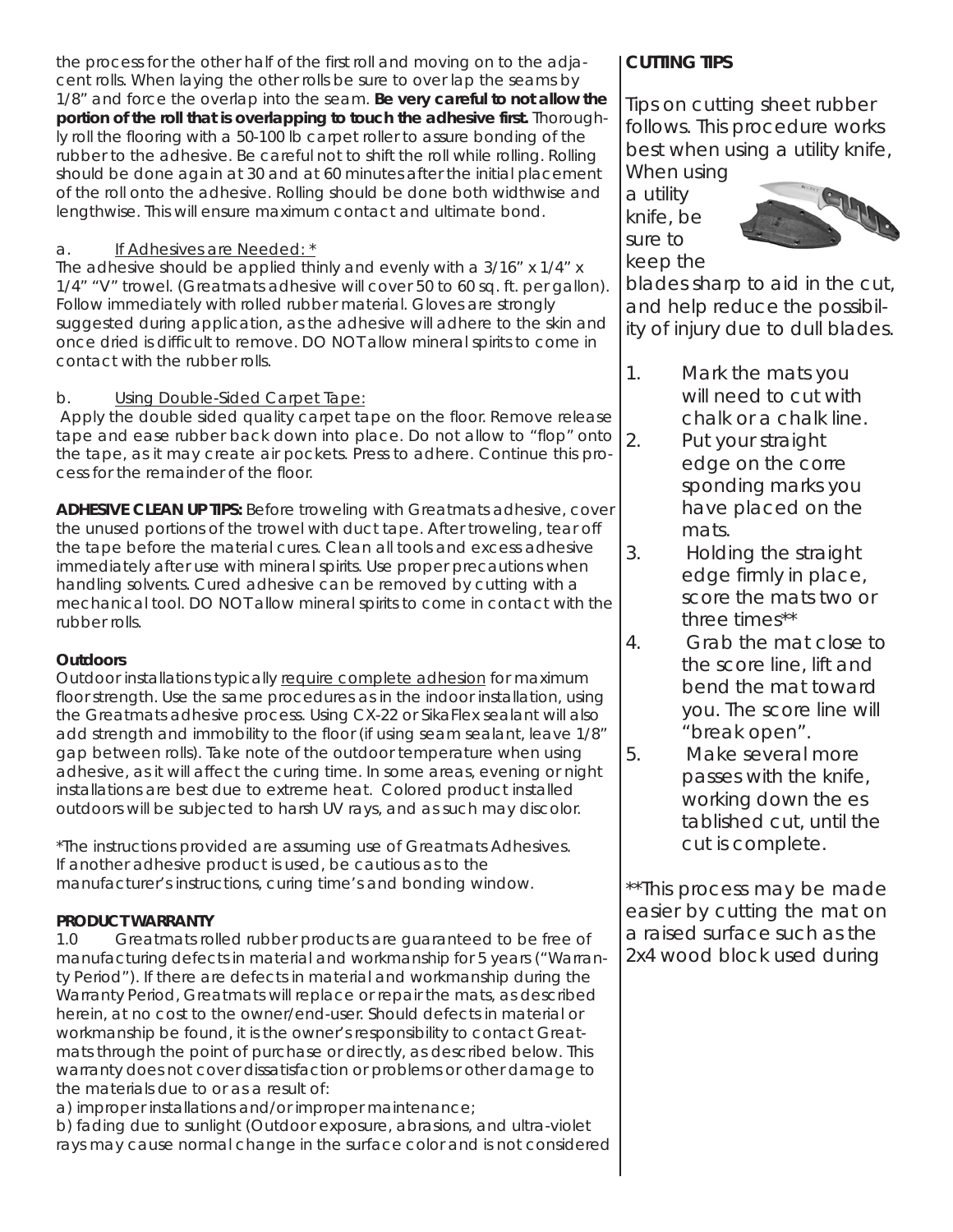the process for the other half of the first roll and moving on to the adjacent rolls. When laying the other rolls be sure to over lap the seams by 1/8" and force the overlap into the seam. **Be very careful to not allow the portion of the roll that is overlapping to touch the adhesive first.** Thoroughly roll the flooring with a 50-100 lb carpet roller to assure bonding of the rubber to the adhesive. *Be careful not to shift the roll while rolling.* Rolling should be done again at 30 and at 60 minutes after the initial placement of the roll onto the adhesive. Rolling should be done both widthwise and lengthwise. This will ensure maximum contact and ultimate bond.

#### a. If Adhesives are Needed: \*

The adhesive should be applied thinly and evenly with a 3/16" x 1/4" x 1/4" "V" trowel. (Greatmats adhesive will cover 50 to 60 sq. ft. per gallon). Follow immediately with rolled rubber material. Gloves are strongly suggested during application, as the adhesive will adhere to the skin and once dried is difficult to remove. DO NOT allow mineral spirits to come in contact with the rubber rolls.

#### b. Using Double-Sided Carpet Tape:

Apply the double sided quality carpet tape on the floor. Remove release tape and ease rubber back down into place. Do not allow to "flop" onto the tape, as it may create air pockets. Press to adhere. Continue this process for the remainder of the floor.

**ADHESIVE CLEAN UP TIPS:** Before troweling with Greatmats adhesive, cover the unused portions of the trowel with duct tape. After troweling, tear off the tape before the material cures. Clean all tools and excess adhesive immediately after use with mineral spirits. Use proper precautions when handling solvents. Cured adhesive can be removed by cutting with a mechanical tool. DO NOT allow mineral spirits to come in contact with the rubber rolls.

#### **Outdoors**

Outdoor installations typically require complete adhesion for maximum floor strength. Use the same procedures as in the indoor installation, using the Greatmats adhesive process. Using CX-22 or SikaFlex sealant will also add strength and immobility to the floor (if using seam sealant, leave 1/8" gap between rolls). Take note of the outdoor temperature when using adhesive, as it will affect the curing time. In some areas, evening or night installations are best due to extreme heat. Colored product installed outdoors will be subjected to harsh UV rays, and as such may discolor.

\*The instructions provided are assuming use of Greatmats Adhesives. If another adhesive product is used, be cautious as to the manufacturer's instructions, curing time's and bonding window.

#### **PRODUCT WARRANTY**

1.0 Greatmats rolled rubber products are guaranteed to be free of manufacturing defects in material and workmanship for 5 years ("Warranty Period"). If there are defects in material and workmanship during the Warranty Period, Greatmats will replace or repair the mats, as described herein, at no cost to the owner/end-user. Should defects in material or workmanship be found, it is the owner's responsibility to contact Greatmats through the point of purchase or directly, as described below. This warranty does not cover dissatisfaction or problems or other damage to the materials due to or as a result of:

a) improper installations and/or improper maintenance;

b) fading due to sunlight (Outdoor exposure, abrasions, and ultra-violet rays may cause normal change in the surface color and is not considered

## **CUTTING TIPS**

Tips on cutting sheet rubber follows. This procedure works best when using a utility knife, When using

a utility knife, be sure to keep the



blades sharp to aid in the cut, and help reduce the possibility of injury due to dull blades.

- 1. Mark the mats you will need to cut with chalk or a chalk line.
- 2. Put your straight edge on the corre sponding marks you have placed on the mats.
- 3. Holding the straight edge firmly in place, score the mats two or three times\*\*
- 4. Grab the mat close to the score line, lift and bend the mat toward you. The score line will "break open".
- 5. Make several more passes with the knife, working down the es tablished cut, until the cut is complete.

\*\*This process may be made easier by cutting the mat on a raised surface such as the 2x4 wood block used during